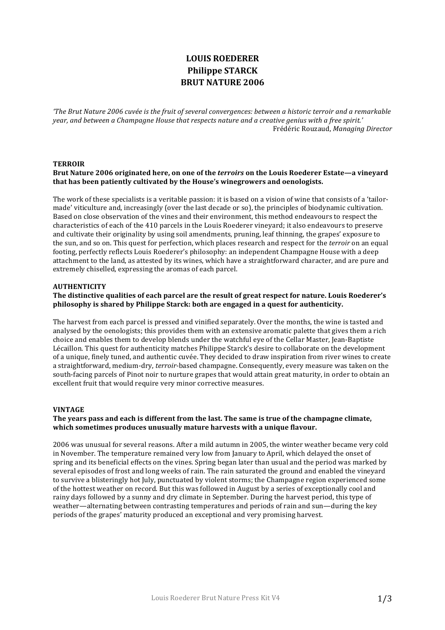# **LOUIS ROEDERER Philippe STARCK BRUT NATURE 2006**

*'The Brut Nature 2006 cuvée is the fruit of several convergences: between a historic terroir and a remarkable* year, and between a Champagne House that respects nature and a creative genius with a free spirit.' Frédéric Rouzaud, *Managing Director*

## **TERROIR**

# Brut Nature 2006 originated here, on one of the *terroirs* on the Louis Roederer Estate—a vineyard that has been patiently cultivated by the House's winegrowers and oenologists.

The work of these specialists is a veritable passion: it is based on a vision of wine that consists of a 'tailormade' viticulture and, increasingly (over the last decade or so), the principles of biodynamic cultivation. Based on close observation of the vines and their environment, this method endeavours to respect the characteristics of each of the 410 parcels in the Louis Roederer vineyard; it also endeavours to preserve and cultivate their originality by using soil amendments, pruning, leaf thinning, the grapes' exposure to the sun, and so on. This quest for perfection, which places research and respect for the *terroir* on an equal footing, perfectly reflects Louis Roederer's philosophy: an independent Champagne House with a deep attachment to the land, as attested by its wines, which have a straightforward character, and are pure and extremely chiselled, expressing the aromas of each parcel.

#### **AUTHENTICITY**

# The distinctive qualities of each parcel are the result of great respect for nature. Louis Roederer's **philosophy** is shared by Philippe Starck: both are engaged in a quest for authenticity.

The harvest from each parcel is pressed and vinified separately. Over the months, the wine is tasted and analysed by the oenologists; this provides them with an extensive aromatic palette that gives them a rich choice and enables them to develop blends under the watchful eye of the Cellar Master, Jean-Baptiste Lécaillon. This quest for authenticity matches Philippe Starck's desire to collaborate on the development of a unique, finely tuned, and authentic cuvée. They decided to draw inspiration from river wines to create a straightforward, medium-dry, *terroir*-based champagne. Consequently, every measure was taken on the south-facing parcels of Pinot noir to nurture grapes that would attain great maturity, in order to obtain an excellent fruit that would require very minor corrective measures.

## **VINTAGE**

## The years pass and each is different from the last. The same is true of the champagne climate, which sometimes produces unusually mature harvests with a unique flavour.

2006 was unusual for several reasons. After a mild autumn in 2005, the winter weather became very cold in November. The temperature remained very low from January to April, which delayed the onset of spring and its beneficial effects on the vines. Spring began later than usual and the period was marked by several episodes of frost and long weeks of rain. The rain saturated the ground and enabled the vineyard to survive a blisteringly hot July, punctuated by violent storms; the Champagne region experienced some of the hottest weather on record. But this was followed in August by a series of exceptionally cool and rainy days followed by a sunny and dry climate in September. During the harvest period, this type of weather—alternating between contrasting temperatures and periods of rain and sun—during the key periods of the grapes' maturity produced an exceptional and very promising harvest.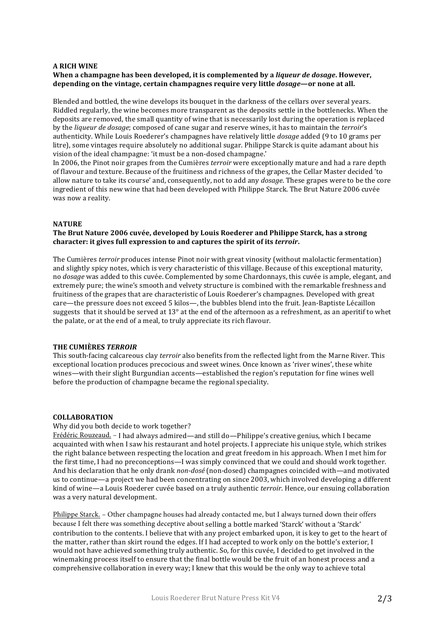## **A RICH WINE**

# **When a champagne has been developed, it is complemented by a** *liqueur de dosage***. However,** depending on the vintage, certain champagnes require very little *dosage*—or none at all.

Blended and bottled, the wine develops its bouquet in the darkness of the cellars over several years. Riddled regularly, the wine becomes more transparent as the deposits settle in the bottlenecks. When the deposits are removed, the small quantity of wine that is necessarily lost during the operation is replaced by the *liqueur* de dosage; composed of cane sugar and reserve wines, it has to maintain the *terroir's* authenticity. While Louis Roederer's champagnes have relatively little *dosage* added (9 to 10 grams per litre), some vintages require absolutely no additional sugar. Philippe Starck is quite adamant about his vision of the ideal champagne: 'it must be a non-dosed champagne.'

In 2006, the Pinot noir grapes from the Cumières *terroir* were exceptionally mature and had a rare depth of flavour and texture. Because of the fruitiness and richness of the grapes, the Cellar Master decided 'to allow nature to take its course' and, consequently, not to add any *dosage*. These grapes were to be the core ingredient of this new wine that had been developed with Philippe Starck. The Brut Nature 2006 cuvée was now a reality.

## **NATURE**

## The Brut Nature 2006 cuvée, developed by Louis Roederer and Philippe Starck, has a strong character: it gives full expression to and captures the spirit of its *terroir*.

The Cumières *terroir* produces intense Pinot noir with great vinosity (without malolactic fermentation) and slightly spicy notes, which is very characteristic of this village. Because of this exceptional maturity, no *dosage* was added to this cuvée. Complemented by some Chardonnays, this cuvée is ample, elegant, and extremely pure; the wine's smooth and velvety structure is combined with the remarkable freshness and fruitiness of the grapes that are characteristic of Louis Roederer's champagnes. Developed with great care—the pressure does not exceed 5 kilos—, the bubbles blend into the fruit. Jean-Baptiste Lécaillon suggests that it should be served at  $13^{\circ}$  at the end of the afternoon as a refreshment, as an aperitif to whet the palate, or at the end of a meal, to truly appreciate its rich flavour.

## **THE CUMIÈRES** *TERROIR*

This south-facing calcareous clay *terroir* also benefits from the reflected light from the Marne River. This exceptional location produces precocious and sweet wines. Once known as 'river wines', these white wines—with their slight Burgundian accents—established the region's reputation for fine wines well before the production of champagne became the regional speciality.

#### **COLLABORATION**

#### Why did you both decide to work together?

Frédéric Rouzeaud. - I had always admired—and still do—Philippe's creative genius, which I became acquainted with when I saw his restaurant and hotel projects. I appreciate his unique style, which strikes the right balance between respecting the location and great freedom in his approach. When I met him for the first time, I had no preconceptions—I was simply convinced that we could and should work together. And his declaration that he only drank *non-dosé* (non-dosed) champagnes coincided with—and motivated us to continue—a project we had been concentrating on since 2003, which involved developing a different kind of wine—a Louis Roederer cuvée based on a truly authentic *terroir*. Hence, our ensuing collaboration was a very natural development.

Philippe Starck. – Other champagne houses had already contacted me, but I always turned down their offers because I felt there was something deceptive about selling a bottle marked 'Starck' without a 'Starck' contribution to the contents. I believe that with any project embarked upon, it is key to get to the heart of the matter, rather than skirt round the edges. If I had accepted to work only on the bottle's exterior, I would not have achieved something truly authentic. So, for this cuvée, I decided to get involved in the winemaking process itself to ensure that the final bottle would be the fruit of an honest process and a comprehensive collaboration in every way; I knew that this would be the only way to achieve total